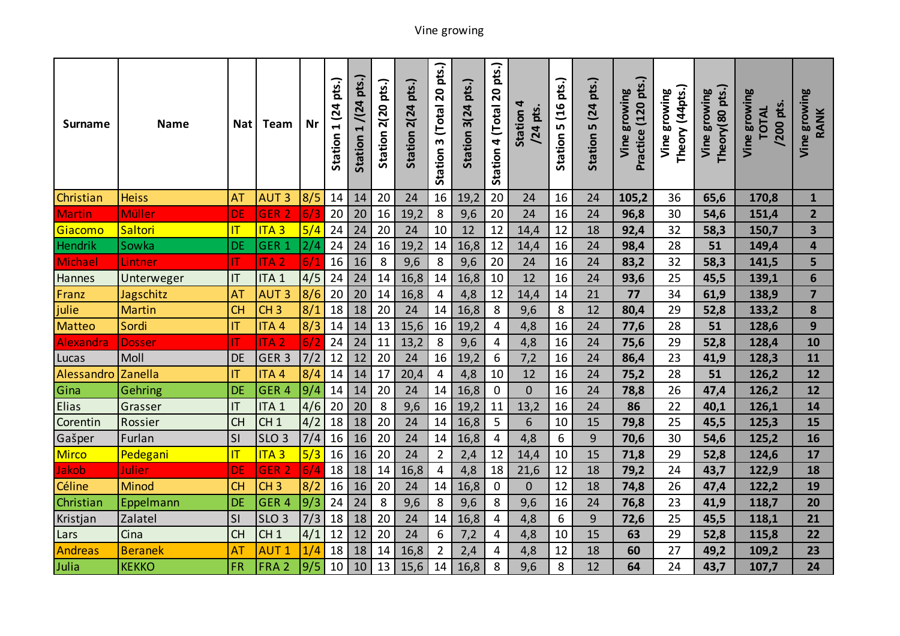| <b>Surname</b> | <b>Name</b>    | <b>Nat</b>              | Team             | Nr  | pts.)<br>1(24)<br>Station | $1/(24 \text{ pts.})$<br>Station | pts.)<br>Station 2(20 | Station 2(24 pts.) | pts.)<br>Station 3 (Total 20 | pts.)<br>Station 3(24 | pts.)<br>$\overline{\mathbf{S}}$<br>4 (Total<br>Station | 4<br>/24 pts.<br>Station | pts.)<br>(16)<br>LO.<br>Station | pts.)<br>5 (24<br>Station | Practice (120 pts.)<br>growing<br>Vine | Theory (44 pts.)<br>growing<br>Vine | Theory (80 pts.)<br>growing<br>Vine | growing<br>pts.<br><b>TOTAL</b><br>/200<br>Vine | Vine growing<br>RANK    |
|----------------|----------------|-------------------------|------------------|-----|---------------------------|----------------------------------|-----------------------|--------------------|------------------------------|-----------------------|---------------------------------------------------------|--------------------------|---------------------------------|---------------------------|----------------------------------------|-------------------------------------|-------------------------------------|-------------------------------------------------|-------------------------|
| Christian      | <b>Heiss</b>   | <b>AT</b>               | <b>AUT3</b>      | 8/5 | 14                        | 14                               | 20                    | 24                 | 16                           | 19,2                  | 20                                                      | 24                       | 16                              | 24                        | 105,2                                  | 36                                  | 65,6                                | 170,8                                           | $\mathbf{1}$            |
| <b>Martin</b>  | <b>Müller</b>  | DE                      | GER <sub>2</sub> | 6/3 | 20                        | 20                               | 16                    | 19,2               | $\,8\,$                      | 9,6                   | 20                                                      | 24                       | 16                              | 24                        | 96,8                                   | 30                                  | 54,6                                | 151,4                                           | $\overline{2}$          |
| Giacomo        | Saltori        | $\overline{\mathsf{I}}$ | ITA <sub>3</sub> | 5/4 | 24                        | 24                               | 20                    | 24                 | 10                           | 12                    | 12                                                      | 14,4                     | 12                              | 18                        | 92,4                                   | 32                                  | 58,3                                | 150,7                                           | $\overline{\mathbf{3}}$ |
| <b>Hendrik</b> | Sowka          | DE                      | GER <sub>1</sub> | 2/4 | 24                        | 24                               | 16                    | 19,2               | 14                           | 16,8                  | 12                                                      | 14,4                     | 16                              | 24                        | 98,4                                   | 28                                  | 51                                  | 149,4                                           | 4                       |
| Michael        | Lintner        | IT                      | <b>ITA2</b>      | 6/1 | 16                        | 16                               | 8                     | 9,6                | 8                            | 9,6                   | 20                                                      | 24                       | 16                              | 24                        | 83,2                                   | 32                                  | 58,3                                | 141,5                                           | 5                       |
| Hannes         | Unterweger     | IT                      | ITA <sub>1</sub> | 4/5 | 24                        | 24                               | 14                    | 16,8               | 14                           | 16,8                  | 10                                                      | 12                       | 16                              | 24                        | 93,6                                   | 25                                  | 45,5                                | 139,1                                           | 6                       |
| Franz          | Jagschitz      | AT                      | <b>AUT3</b>      | 8/6 | 20                        | 20                               | 14                    | 16,8               | 4                            | 4,8                   | 12                                                      | 14,4                     | 14                              | 21                        | 77                                     | 34                                  | 61,9                                | 138,9                                           | $\overline{7}$          |
| julie          | <b>Martin</b>  | <b>CH</b>               | CH <sub>3</sub>  | 8/1 | 18                        | 18                               | 20                    | 24                 | 14                           | 16,8                  | 8                                                       | 9,6                      | 8                               | 12                        | 80,4                                   | 29                                  | 52,8                                | 133,2                                           | 8                       |
| Matteo         | Sordi          | IT                      | ITA 4            | 8/3 | 14                        | 14                               | 13                    | 15,6               | 16                           | 19,2                  | $\overline{a}$                                          | 4,8                      | 16                              | 24                        | 77,6                                   | 28                                  | 51                                  | 128,6                                           | $\mathbf{9}$            |
| Alexandra      | <b>Dosser</b>  | IT                      | <b>ITA2</b>      | 6/2 | 24                        | 24                               | 11                    | 13,2               | 8                            | 9,6                   | 4                                                       | 4,8                      | 16                              | 24                        | 75,6                                   | 29                                  | 52,8                                | 128,4                                           | 10                      |
| Lucas          | Moll           | <b>DE</b>               | GER <sub>3</sub> | 7/2 | 12                        | 12                               | 20                    | 24                 | 16                           | 19,2                  | 6                                                       | 7,2                      | 16                              | 24                        | 86,4                                   | 23                                  | 41,9                                | 128,3                                           | 11                      |
| Alessandro     | Zanella        | IT                      | ITA <sub>4</sub> | 8/4 | 14                        | 14                               | 17                    | 20,4               | $\overline{4}$               | 4,8                   | 10                                                      | 12                       | 16                              | 24                        | 75,2                                   | 28                                  | 51                                  | 126,2                                           | 12                      |
| Gina           | Gehring        | <b>DE</b>               | GER <sub>4</sub> | 9/4 | 14                        | 14                               | 20                    | 24                 | 14                           | 16,8                  | $\mathbf 0$                                             | $\overline{0}$           | 16                              | 24                        | 78,8                                   | 26                                  | 47,4                                | 126,2                                           | 12                      |
| Elias          | Grasser        | IT                      | ITA <sub>1</sub> | 4/6 | 20                        | 20                               | 8                     | 9,6                | 16                           | 19,2                  | 11                                                      | 13,2                     | 16                              | 24                        | 86                                     | 22                                  | 40,1                                | 126,1                                           | 14                      |
| Corentin       | Rossier        | CH                      | CH <sub>1</sub>  | 4/2 | 18                        | 18                               | 20                    | 24                 | 14                           | 16,8                  | 5                                                       | 6                        | 10                              | 15                        | 79,8                                   | 25                                  | 45,5                                | 125,3                                           | 15                      |
| Gašper         | Furlan         | SI                      | SLO <sub>3</sub> | 7/4 | 16                        | 16                               | 20                    | 24                 | 14                           | 16,8                  | $\overline{4}$                                          | 4,8                      | 6                               | 9                         | 70,6                                   | 30                                  | 54,6                                | 125,2                                           | 16                      |
| Mirco          | Pedegani       | $\overline{\mathsf{I}}$ | <b>ITA3</b>      | 5/3 | 16                        | 16                               | 20                    | 24                 | $\overline{2}$               | 2,4                   | 12                                                      | 14,4                     | 10                              | 15                        | 71,8                                   | 29                                  | 52,8                                | 124,6                                           | 17                      |
| Jakob          | <b>Julier</b>  | <b>DE</b>               | GER <sub>2</sub> | 6/4 | 18                        | 18                               | 14                    | 16,8               | 4                            | 4,8                   | 18                                                      | 21,6                     | 12                              | 18                        | 79,2                                   | 24                                  | 43,7                                | 122,9                                           | 18                      |
| Céline         | <b>Minod</b>   | <b>CH</b>               | CH <sub>3</sub>  | 8/2 | 16                        | 16                               | 20                    | 24                 | 14                           | 16,8                  | $\mathbf 0$                                             | $\mathbf 0$              | 12                              | 18                        | 74,8                                   | 26                                  | 47,4                                | 122,2                                           | 19                      |
| Christian      | Eppelmann      | DE                      | GER <sub>4</sub> | 9/3 | 24                        | 24                               | 8                     | 9,6                | 8                            | 9,6                   | 8                                                       | 9,6                      | 16                              | 24                        | 76,8                                   | 23                                  | 41,9                                | 118,7                                           | 20                      |
| Kristjan       | Zalatel        | SI                      | SLO <sub>3</sub> | 7/3 | 18                        | 18                               | 20                    | 24                 | 14                           | 16,8                  | $\overline{4}$                                          | 4,8                      | 6                               | 9                         | 72,6                                   | 25                                  | 45,5                                | 118,1                                           | 21                      |
| Lars           | Cina           | <b>CH</b>               | CH <sub>1</sub>  | 4/1 | 12                        | 12                               | 20                    | 24                 | 6                            | 7,2                   | 4                                                       | 4,8                      | 10                              | 15                        | 63                                     | 29                                  | 52,8                                | 115,8                                           | 22                      |
| <b>Andreas</b> | <b>Beranek</b> | AT                      | <b>AUT1</b>      | 1/4 | 18                        | 18                               | 14                    | 16,8               | $\overline{2}$               | 2,4                   | $\overline{4}$                                          | 4,8                      | 12                              | 18                        | 60                                     | 27                                  | 49,2                                | 109,2                                           | 23                      |
| Julia          | <b>KEKKO</b>   | <b>FR</b>               | FRA <sub>2</sub> | 9/5 | 10                        | 10                               | 13                    | 15,6               | 14                           | 16,8                  | 8                                                       | 9,6                      | 8                               | 12                        | 64                                     | 24                                  | 43,7                                | 107,7                                           | 24                      |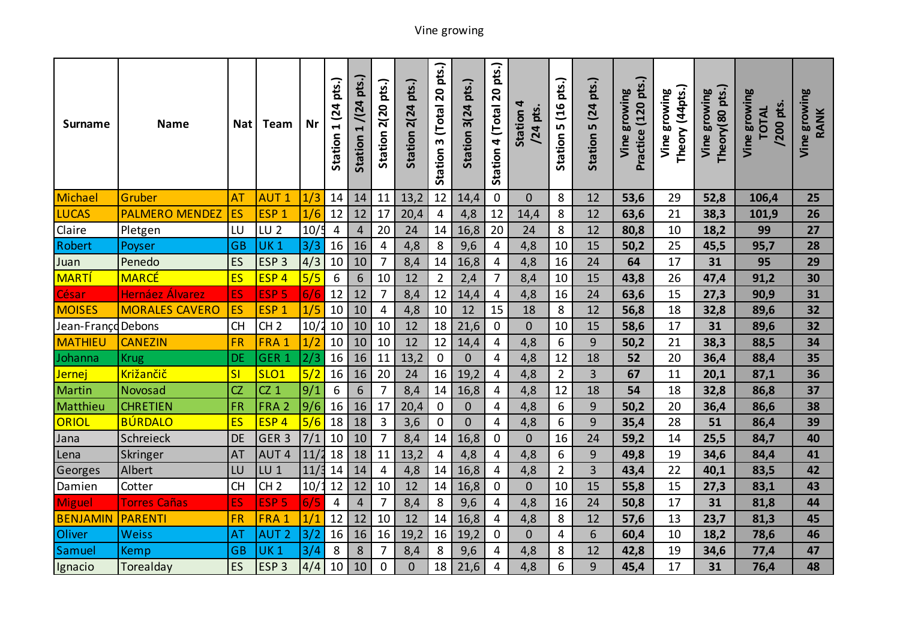| Surname            | <b>Name</b>            | <b>Nat</b> | Team             | Nr   | pts.)<br>Station 1 (24 | Station 1 / (24 pts.) | pts.)<br>Station 2(20 | Station 2(24 pts.) | Station 3 (Total 20 pts.) | pts.)<br>Station 3(24 | pts.)<br>$\overline{\mathbf{S}}$<br>4 (Total<br>Station | 4<br>/24 pts.<br>Station | pts.)<br>(16)<br>LŊ<br>Station | pts.)<br>Station 5 (24 | Practice (120 pts.)<br>growing<br>Vine | Theory (44 pts.)<br>growing<br>Vine | Theory (80 pts.)<br>growing<br>Vine | growing<br>pts.<br><b>TOTAL</b><br>/200<br>Vine | Vine growing<br>RANK |
|--------------------|------------------------|------------|------------------|------|------------------------|-----------------------|-----------------------|--------------------|---------------------------|-----------------------|---------------------------------------------------------|--------------------------|--------------------------------|------------------------|----------------------------------------|-------------------------------------|-------------------------------------|-------------------------------------------------|----------------------|
| Michael            | Gruber                 | AT         | <b>AUT1</b>      | 1/3  | 14                     | 14                    | 11                    | 13,2               | 12                        | 14,4                  | $\mathbf 0$                                             | $\overline{0}$           | 8                              | 12                     | 53,6                                   | 29                                  | 52,8                                | 106,4                                           | 25                   |
| <b>LUCAS</b>       | <b>PALMERO MENDEZ</b>  | ES         | ESP <sub>1</sub> | 1/6  | 12                     | 12                    | 17                    | 20,4               | $\overline{4}$            | 4,8                   | 12                                                      | 14,4                     | 8                              | 12                     | 63,6                                   | 21                                  | 38,3                                | 101,9                                           | 26                   |
| Claire             | Pletgen                | LU         | LU <sub>2</sub>  | 10/5 | 4                      | $\overline{4}$        | 20                    | 24                 | 14                        | 16,8                  | 20                                                      | 24                       | 8                              | 12                     | 80,8                                   | 10                                  | 18,2                                | 99                                              | 27                   |
| Robert             | Poyser                 | <b>GB</b>  | <b>UK1</b>       | 3/3  | 16                     | 16                    | 4                     | 4,8                | 8                         | 9,6                   | 4                                                       | 4,8                      | 10                             | 15                     | 50,2                                   | 25                                  | 45,5                                | 95,7                                            | 28                   |
| Juan               | Penedo                 | ES         | ESP <sub>3</sub> | 4/3  | 10                     | 10                    | $\overline{7}$        | 8,4                | 14                        | 16,8                  | $\overline{4}$                                          | 4,8                      | 16                             | 24                     | 64                                     | 17                                  | 31                                  | 95                                              | 29                   |
| <b>MARTÍ</b>       | <b>MARCÉ</b>           | <b>ES</b>  | ESP <sub>4</sub> | 5/5  | 6                      | 6                     | 10                    | 12                 | $\overline{2}$            | 2,4                   | $\overline{7}$                                          | 8,4                      | 10                             | 15                     | 43,8                                   | 26                                  | 47,4                                | 91,2                                            | 30                   |
| César              | <b>Hernáez Álvarez</b> | ES         | ESP <sub>5</sub> | 6/6  | 12                     | 12                    | 7                     | 8,4                | 12                        | 14,4                  | $\overline{4}$                                          | 4,8                      | 16                             | 24                     | 63,6                                   | 15                                  | 27,3                                | 90,9                                            | 31                   |
| <b>MOISES</b>      | <b>MORALES CAVERO</b>  | ES         | ESP <sub>1</sub> | 1/5  | 10                     | 10                    | 4                     | 4,8                | 10                        | 12                    | 15                                                      | 18                       | 8                              | 12                     | 56,8                                   | 18                                  | 32,8                                | 89,6                                            | 32                   |
| Jean-Françd Debons |                        | <b>CH</b>  | CH <sub>2</sub>  | 10/2 | 10                     | 10                    | 10                    | 12                 | 18                        | 21,6                  | $\mathbf 0$                                             | $\overline{0}$           | 10                             | 15                     | 58,6                                   | 17                                  | 31                                  | 89,6                                            | 32                   |
| <b>MATHIEU</b>     | <b>CANEZIN</b>         | <b>FR</b>  | FRA 1            | 1/2  | 10                     | 10                    | 10                    | 12                 | 12                        | 14,4                  | 4                                                       | 4,8                      | 6                              | 9                      | 50,2                                   | 21                                  | 38,3                                | 88,5                                            | 34                   |
| Johanna            | <b>Krug</b>            | DE         | GER <sub>1</sub> | 2/3  | 16                     | 16                    | 11                    | 13,2               | $\mathbf 0$               | $\mathbf 0$           | $\overline{4}$                                          | 4,8                      | 12                             | 18                     | 52                                     | 20                                  | 36,4                                | 88,4                                            | 35                   |
| Jernej             | Križančič              | SI         | SLO <sub>1</sub> | 5/2  | 16                     | 16                    | 20                    | 24                 | 16                        | 19,2                  | $\overline{4}$                                          | 4,8                      | $\overline{2}$                 | $\overline{3}$         | 67                                     | 11                                  | 20,1                                | 87,1                                            | 36                   |
| Martin             | Novosad                | CZ         | $CZ_1$           | 9/1  | 6                      | 6                     | 7                     | 8,4                | 14                        | 16,8                  | 4                                                       | 4,8                      | 12                             | 18                     | 54                                     | 18                                  | 32,8                                | 86,8                                            | 37                   |
| Matthieu           | <b>CHRETIEN</b>        | FR         | FRA <sub>2</sub> | 9/6  | 16                     | 16                    | 17                    | 20,4               | $\mathbf 0$               | $\mathbf 0$           | 4                                                       | 4,8                      | 6                              | 9                      | 50,2                                   | 20                                  | 36,4                                | 86,6                                            | 38                   |
| ORIOL              | <b>BÚRDALO</b>         | <b>ES</b>  | ESP <sub>4</sub> | 5/6  | 18                     | 18                    | 3                     | 3,6                | $\mathbf 0$               | $\overline{0}$        | $\overline{4}$                                          | 4,8                      | 6                              | 9                      | 35,4                                   | 28                                  | 51                                  | 86,4                                            | 39                   |
| Jana               | Schreieck              | <b>DE</b>  | GER <sub>3</sub> | 7/1  | 10                     | 10                    | 7                     | 8,4                | 14                        | 16,8                  | $\mathbf 0$                                             | $\overline{0}$           | 16                             | 24                     | 59,2                                   | 14                                  | 25,5                                | 84,7                                            | 40                   |
| Lena               | Skringer               | <b>AT</b>  | AUT <sub>4</sub> | 11/  | 18                     | 18                    | 11                    | 13,2               | $\overline{4}$            | 4,8                   | $\overline{4}$                                          | 4,8                      | 6                              | 9                      | 49,8                                   | 19                                  | 34,6                                | 84,4                                            | 41                   |
| Georges            | Albert                 | LU         | $LU$ 1           | 11/3 | 14                     | 14                    | $\overline{4}$        | 4,8                | 14                        | 16,8                  | $\overline{4}$                                          | 4,8                      | $\overline{2}$                 | $\overline{3}$         | 43,4                                   | 22                                  | 40,1                                | 83,5                                            | 42                   |
| Damien             | Cotter                 | <b>CH</b>  | CH <sub>2</sub>  | 10/  | 12                     | 12                    | 10                    | 12                 | 14                        | 16,8                  | 0                                                       | $\mathbf 0$              | 10                             | 15                     | 55,8                                   | 15                                  | 27,3                                | 83,1                                            | 43                   |
| <b>Miguel</b>      | <b>Torres Cañas</b>    | ES         | ESP <sub>5</sub> | 6/5  | 4                      | $\overline{4}$        | $\overline{7}$        | 8,4                | 8                         | 9,6                   | $\overline{4}$                                          | 4,8                      | 16                             | 24                     | 50,8                                   | 17                                  | 31                                  | 81,8                                            | 44                   |
| <b>BENJAMIN</b>    | <b>PARENTI</b>         | <b>FR</b>  | FRA 1            | 1/1  | 12                     | 12                    | 10                    | 12                 | 14                        | 16,8                  | $\overline{4}$                                          | 4,8                      | 8                              | 12                     | 57,6                                   | 13                                  | 23,7                                | 81,3                                            | 45                   |
| Oliver             | <b>Weiss</b>           | AT         | <b>AUT 2</b>     | 3/2  | 16                     | 16                    | 16                    | 19,2               | 16                        | 19,2                  | $\mathbf 0$                                             | $\mathbf 0$              | 4                              | 6                      | 60,4                                   | 10                                  | 18,2                                | 78,6                                            | 46                   |
| Samuel             | <b>Kemp</b>            | <b>GB</b>  | <b>UK1</b>       | 3/4  | 8                      | 8                     | 7                     | 8,4                | 8                         | 9,6                   | 4                                                       | 4,8                      | 8                              | 12                     | 42,8                                   | 19                                  | 34,6                                | 77,4                                            | 47                   |
| Ignacio            | Torealday              | ES         | ESP <sub>3</sub> | 4/4  | 10                     | 10                    | 0                     | $\overline{0}$     | 18                        | 21,6                  | $\overline{4}$                                          | 4,8                      | 6                              | 9                      | 45,4                                   | 17                                  | 31                                  | 76,4                                            | 48                   |